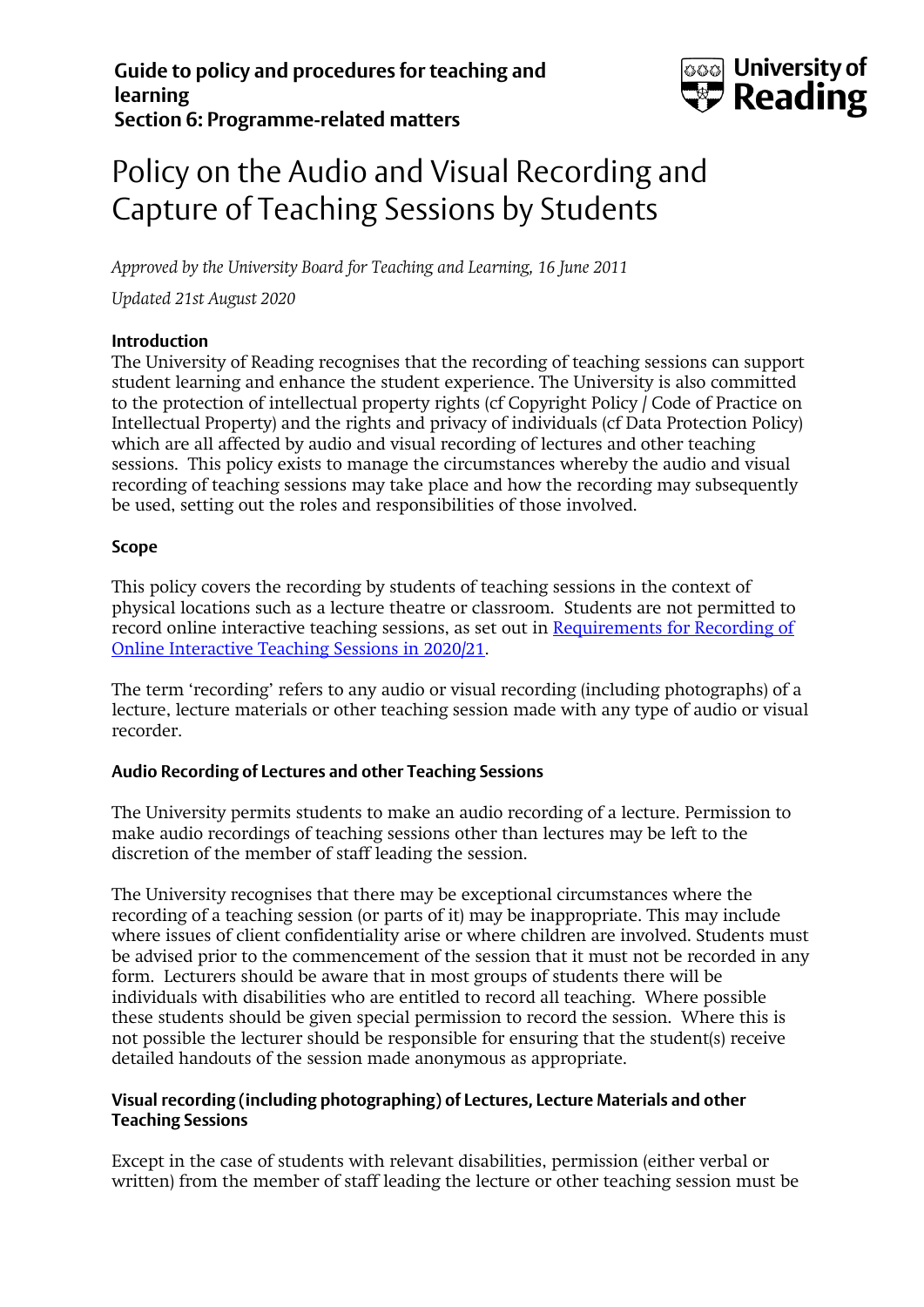

# Policy on the Audio and Visual Recording and Capture of Teaching Sessions by Students

*Approved by the University Board for Teaching and Learning, 16 June 2011 Updated 21st August 2020*

# **Introduction**

The University of Reading recognises that the recording of teaching sessions can support student learning and enhance the student experience. The University is also committed to the protection of intellectual property rights (cf Copyright Policy / Code of Practice on Intellectual Property) and the rights and privacy of individuals (cf Data Protection Policy) which are all affected by audio and visual recording of lectures and other teaching sessions. This policy exists to manage the circumstances whereby the audio and visual recording of teaching sessions may take place and how the recording may subsequently be used, setting out the roles and responsibilities of those involved.

#### **Scope**

This policy covers the recording by students of teaching sessions in the context of physical locations such as a lecture theatre or classroom. Students are not permitted to record online interactive teaching sessions, as set out in [Requirements for Recording of](http://www.reading.ac.uk/web/files/qualitysupport/Requirements-for-Recording-of-Online-Interactive-Teaching-Sessions-in-2020-21.pdf)  [Online Interactive Teaching Sessions in 2020/21.](http://www.reading.ac.uk/web/files/qualitysupport/Requirements-for-Recording-of-Online-Interactive-Teaching-Sessions-in-2020-21.pdf)

The term 'recording' refers to any audio or visual recording (including photographs) of a lecture, lecture materials or other teaching session made with any type of audio or visual recorder.

# **Audio Recording of Lectures and other Teaching Sessions**

The University permits students to make an audio recording of a lecture. Permission to make audio recordings of teaching sessions other than lectures may be left to the discretion of the member of staff leading the session.

The University recognises that there may be exceptional circumstances where the recording of a teaching session (or parts of it) may be inappropriate. This may include where issues of client confidentiality arise or where children are involved. Students must be advised prior to the commencement of the session that it must not be recorded in any form. Lecturers should be aware that in most groups of students there will be individuals with disabilities who are entitled to record all teaching. Where possible these students should be given special permission to record the session. Where this is not possible the lecturer should be responsible for ensuring that the student(s) receive detailed handouts of the session made anonymous as appropriate.

# **Visual recording (including photographing) of Lectures, Lecture Materials and other Teaching Sessions**

Except in the case of students with relevant disabilities, permission (either verbal or written) from the member of staff leading the lecture or other teaching session must be